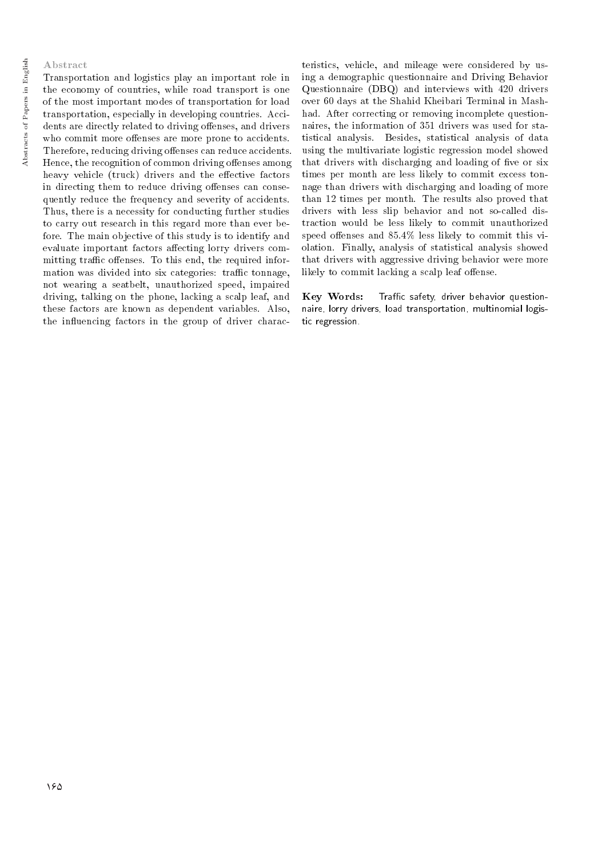#### Abstract

Transportation and logistics play an important role in the economy of countries, while road transport is one of the most important modes of transportation for load transportation, especially in developing countries. Accidents are directly related to driving offenses, and drivers who commit more offenses are more prone to accidents. Therefore, reducing driving offenses can reduce accidents. Hence, the recognition of common driving offenses among heavy vehicle (truck) drivers and the effective factors in directing them to reduce driving offenses can consequently reduce the frequency and severity of accidents. Thus, there is a necessity for conducting further studies to carry out research in this regard more than ever before. The main objective of this study is to identify and evaluate important factors affecting lorry drivers committing traffic offenses. To this end, the required information was divided into six categories: traffic tonnage, not wearing a seatbelt, unauthorized speed, impaired driving, talking on the phone, lacking a scalp leaf, and these factors are known as dependent variables. Also, the influencing factors in the group of driver charac-

teristics, vehicle, and mileage were considered by using a demographic questionnaire and Driving Behavior Questionnaire (DBQ) and interviews with 420 drivers over 60 days at the Shahid Kheibari Terminal in Mashhad. After correcting or removing incomplete questionnaires, the information of 351 drivers was used for statistical analysis. Besides, statistical analysis of data using the multivariate logistic regression model showed that drivers with discharging and loading of five or six times per month are less likely to commit excess tonnage than drivers with discharging and loading of more than 12 times per month. The results also proved that drivers with less slip behavior and not so-called distraction would be less likely to commit unauthorized speed offenses and  $85.4\%$  less likely to commit this violation. Finally, analysis of statistical analysis showed that drivers with aggressive driving behavior were more likely to commit lacking a scalp leaf offense.

Key Words: Traffic safety, driver behavior questionnaire, lorry drivers, load transportation, multinomial logistic regression.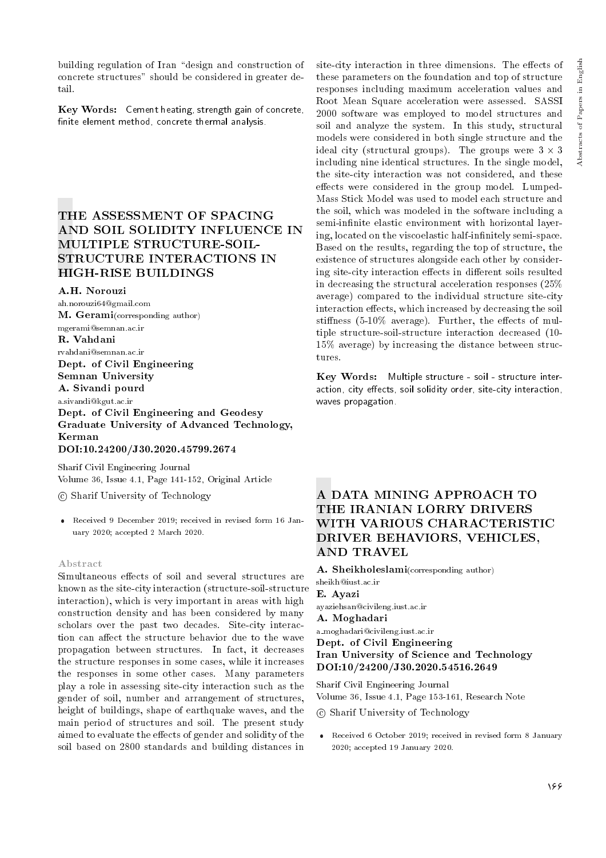Key Words: Cement heating, strength gain of concrete, finite element method, concrete thermal analysis.

## THE ASSESSMENT OF SPACING AND SOIL SOLIDITY INFLUENCE IN MULTIPLE STRUCTURE-SOIL-STRUCTURE INTERACTIONS IN HIGH-RISE BUILDINGS

A.H. Norouzi

ah.norouzi64@gmail.com M. Gerami(corresponding author) mgerami@semnan.ac.ir

#### R. Vahdani

rvahdani@semnan.ac.ir Dept. of Civil Engineering Semnan University

A. Sivandi pourd

a.sivandi@kgut.ac.ir

Dept. of Civil Engineering and Geodesy Graduate University of Advanced Technology, Kerman DOI:10.24200/J30.2020.45799.2674

Sharif Civil Engineering Journal Volume 36, Issue 4.1, Page 141-152, Original Article

c Sharif University of Technology

 Received 9 December 2019; received in revised form 16 January 2020; accepted 2 March 2020.

#### Abstract

Simultaneous effects of soil and several structures are known as the site-city interaction (structure-soil-structure interaction), which is very important in areas with high construction density and has been considered by many scholars over the past two decades. Site-city interaction can affect the structure behavior due to the wave propagation between structures. In fact, it decreases the structure responses in some cases, while it increases the responses in some other cases. Many parameters play a role in assessing site-city interaction such as the gender of soil, number and arrangement of structures, height of buildings, shape of earthquake waves, and the main period of structures and soil. The present study aimed to evaluate the effects of gender and solidity of the soil based on 2800 standards and building distances in

site-city interaction in three dimensions. The effects of these parameters on the foundation and top of structure responses including maximum acceleration values and Root Mean Square acceleration were assessed. SASSI 2000 software was employed to model structures and soil and analyze the system. In this study, structural models were considered in both single structure and the ideal city (structural groups). The groups were  $3 \times 3$ including nine identical structures. In the single model, the site-city interaction was not considered, and these effects were considered in the group model. Lumped-Mass Stick Model was used to model each structure and the soil, which was modeled in the software including a semi-infinite elastic environment with horizontal layering, located on the viscoelastic half-infinitely semi-space. Based on the results, regarding the top of structure, the existence of structures alongside each other by considering site-city interaction effects in different soils resulted in decreasing the structural acceleration responses (25% average) compared to the individual structure site-city interaction effects, which increased by decreasing the soil stiffness  $(5-10\%$  average). Further, the effects of multiple structure-soil-structure interaction decreased (10- 15% average) by increasing the distance between structures.

Key Words: Multiple structure - soil - structure interaction, city effects, soil solidity order, site-city interaction, waves propagation.

## A DATA MINING APPROACH TO THE IRANIAN LORRY DRIVERS WITH VARIOUS CHARACTERISTIC DRIVER BEHAVIORS, VEHICLES, AND TRAVEL

A. Sheikholeslami(corresponding author) sheikh@iust.ac.ir E. Ayazi

ayaziehsan@civileng.iust.ac.ir

## A. Moghadari

a moghadari@civileng.iust.ac.ir Dept. of Civil Engineering Iran University of Science and Technology DOI:10/24200/J30.2020.54516.2649

Sharif Civil Engineering Journal Volume 36, Issue 4.1, Page 153-161, Research Note

c Sharif University of Technology

 Received 6 October 2019; received in revised form 8 January 2020; accepted 19 January 2020.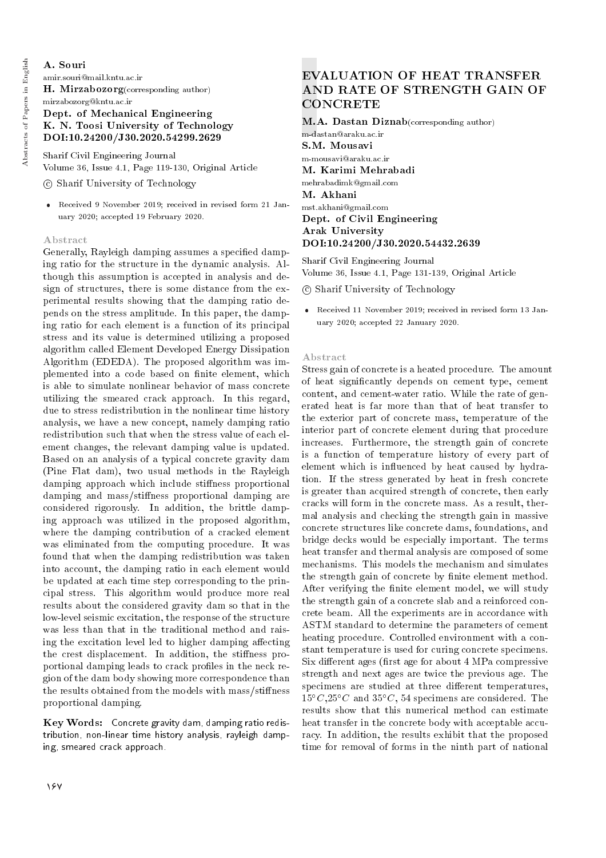## A. Souri

amir.souri@mail.kntu.ac.ir

H. Mirzabozorg(corresponding author)

## mirzabozorg@kntu.ac.ir Dept. of Mechanical Engineering K. N. Toosi University of Technology DOI:10.24200/J30.2020.54299.2629

Sharif Civil Engineering Journal Volume 36, Issue 4.1, Page 119-130, Original Article

## c Sharif University of Technology

 Received 9 November 2019; received in revised form 21 January 2020; accepted 19 February 2020.

## Abstract

Generally, Rayleigh damping assumes a specied damping ratio for the structure in the dynamic analysis. Although this assumption is accepted in analysis and design of structures, there is some distance from the experimental results showing that the damping ratio depends on the stress amplitude. In this paper, the damping ratio for each element is a function of its principal stress and its value is determined utilizing a proposed algorithm called Element Developed Energy Dissipation Algorithm (EDEDA). The proposed algorithm was implemented into a code based on finite element, which is able to simulate nonlinear behavior of mass concrete utilizing the smeared crack approach. In this regard, due to stress redistribution in the nonlinear time history analysis, we have a new concept, namely damping ratio redistribution such that when the stress value of each element changes, the relevant damping value is updated. Based on an analysis of a typical concrete gravity dam (Pine Flat dam), two usual methods in the Rayleigh damping approach which include stiffness proportional damping and mass/stiffness proportional damping are considered rigorously. In addition, the brittle damping approach was utilized in the proposed algorithm, where the damping contribution of a cracked element was eliminated from the computing procedure. It was found that when the damping redistribution was taken into account, the damping ratio in each element would be updated at each time step corresponding to the principal stress. This algorithm would produce more real results about the considered gravity dam so that in the low-level seismic excitation, the response of the structure was less than that in the traditional method and raising the excitation level led to higher damping affecting the crest displacement. In addition, the stiffness proportional damping leads to crack profiles in the neck region of the dam body showing more correspondence than the results obtained from the models with mass/stiffness proportional damping.

Key Words: Concrete gravity dam, damping ratio redistribution, non-linear time history analysis, rayleigh damping, smeared crack approach.

## EVALUATION OF HEAT TRANSFER AND RATE OF STRENGTH GAIN OF **CONCRETE**

M.A. Dastan Diznab(corresponding author) m-dastan@araku.ac.ir S.M. Mousavi m-mousavi@araku.ac.ir M. Karimi Mehrabadi mehrabadimk@gmail.com M. Akhani mst.akhani@gmail.com Dept. of Civil Engineering

Arak University DOI:10.24200/J30.2020.54432.2639

Sharif Civil Engineering Journal Volume 36, Issue 4.1, Page 131-139, Original Article

c Sharif University of Technology

 Received 11 November 2019; received in revised form 13 January 2020; accepted 22 January 2020.

#### Abstract

Stress gain of concrete is a heated procedure. The amount of heat signicantly depends on cement type, cement content, and cement-water ratio. While the rate of generated heat is far more than that of heat transfer to the exterior part of concrete mass, temperature of the interior part of concrete element during that procedure increases. Furthermore, the strength gain of concrete is a function of temperature history of every part of element which is influenced by heat caused by hydration. If the stress generated by heat in fresh concrete is greater than acquired strength of concrete, then early cracks will form in the concrete mass. As a result, thermal analysis and checking the strength gain in massive concrete structures like concrete dams, foundations, and bridge decks would be especially important. The terms heat transfer and thermal analysis are composed of some mechanisms. This models the mechanism and simulates the strength gain of concrete by finite element method. After verifying the finite element model, we will study the strength gain of a concrete slab and a reinforced concrete beam. All the experiments are in accordance with ASTM standard to determine the parameters of cement heating procedure. Controlled environment with a constant temperature is used for curing concrete specimens. Six different ages (first age for about 4 MPa compressive strength and next ages are twice the previous age. The specimens are studied at three different temperatures,  $15^{\circ}C$ ,  $25^{\circ}C$  and  $35^{\circ}C$ , 54 specimens are considered. The results show that this numerical method can estimate heat transfer in the concrete body with acceptable accuracy. In addition, the results exhibit that the proposed time for removal of forms in the ninth part of national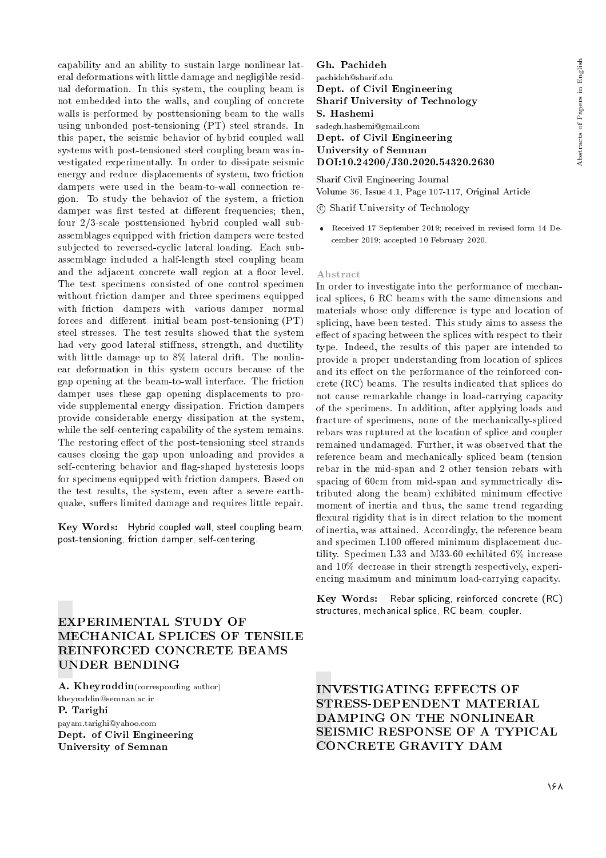capability and an ability to sustain large nonlinear lateral deformations with little damage and negligible residual deformation. In this system, the coupling beam is not embedded into the walls, and coupling of concrete walls is performed by posttensioning beam to the walls using unbonded post-tensioning (PT) steel strands. In this paper, the seismic behavior of hybrid coupled wall systems with post-tensioned steel coupling beam was investigated experimentally. In order to dissipate seismic energy and reduce displacements of system, two friction dampers were used in the beam-to-wall connection region. To study the behavior of the system, a friction damper was first tested at different frequencies; then, four 2/3-scale posttensioned hybrid coupled wall subassemblages equipped with friction dampers were tested subjected to reversed-cyclic lateral loading. Each subassemblage included a half-length steel coupling beam and the adjacent concrete wall region at a floor level. The test specimens consisted of one control specimen without friction damper and three specimens equipped with friction dampers with various damper normal forces and different initial beam post-tensioning  $(PT)$ steel stresses. The test results showed that the system had very good lateral stiffness, strength, and ductility with little damage up to 8% lateral drift. The nonlinear deformation in this system occurs because of the gap opening at the beam-to-wall interface. The friction damper uses these gap opening displacements to provide supplemental energy dissipation. Friction dampers provide considerable energy dissipation at the system, while the self-centering capability of the system remains. The restoring effect of the post-tensioning steel strands causes closing the gap upon unloading and provides a self-centering behavior and 
ag-shaped hysteresis loops for specimens equipped with friction dampers. Based on the test results, the system, even after a severe earthquake, suffers limited damage and requires little repair.

Key Words: Hybrid coupled wall, steel coupling beam, post-tensioning, friction damper, self-centering.

## EXPERIMENTAL STUDY OF MECHANICAL SPLICES OF TENSILE REINFORCED CONCRETE BEAMS UNDER BENDING

A. Kheyroddin(corresponding author) kheyroddin@semnan.ac.ir P. Tarighi payam.tarighi@yahoo.com Dept. of Civil Engineering University of Semnan

Gh. Pachideh pachideh@sharif.edu Dept. of Civil Engineering Sharif University of Technology S. Hashemi sadegh.hashemi@gmail.com Dept. of Civil Engineering University of Semnan DOI:10.24200/J30.2020.54320.2630

Sharif Civil Engineering Journal Volume 36, Issue 4.1, Page 107-117, Original Article

c Sharif University of Technology

 Received 17 September 2019; received in revised form 14 December 2019; accepted 10 February 2020.

#### Abstract

In order to investigate into the performance of mechanical splices, 6 RC beams with the same dimensions and materials whose only difference is type and location of splicing, have been tested. This study aims to assess the effect of spacing between the splices with respect to their type. Indeed, the results of this paper are intended to provide a proper understanding from location of splices and its effect on the performance of the reinforced concrete (RC) beams. The results indicated that splices do not cause remarkable change in load-carrying capacity of the specimens. In addition, after applying loads and fracture of specimens, none of the mechanically-spliced rebars was ruptured at the location of splice and coupler remained undamaged. Further, it was observed that the reference beam and mechanically spliced beam (tension rebar in the mid-span and 2 other tension rebars with spacing of 60cm from mid-span and symmetrically distributed along the beam) exhibited minimum effective moment of inertia and thus, the same trend regarding flexural rigidity that is in direct relation to the moment of inertia, was attained. Accordingly, the reference beam and specimen L100 offered minimum displacement ductility. Specimen L33 and M33-60 exhibited 6% increase and 10% decrease in their strength respectively, experiencing maximum and minimum load-carrying capacity.

Key Words: Rebar splicing, reinforced concrete (RC) structures, mechanical splice, RC beam, coupler.

INVESTIGATING EFFECTS OF STRESS-DEPENDENT MATERIAL DAMPING ON THE NONLINEAR SEISMIC RESPONSE OF A TYPICAL CONCRETE GRAVITY DAM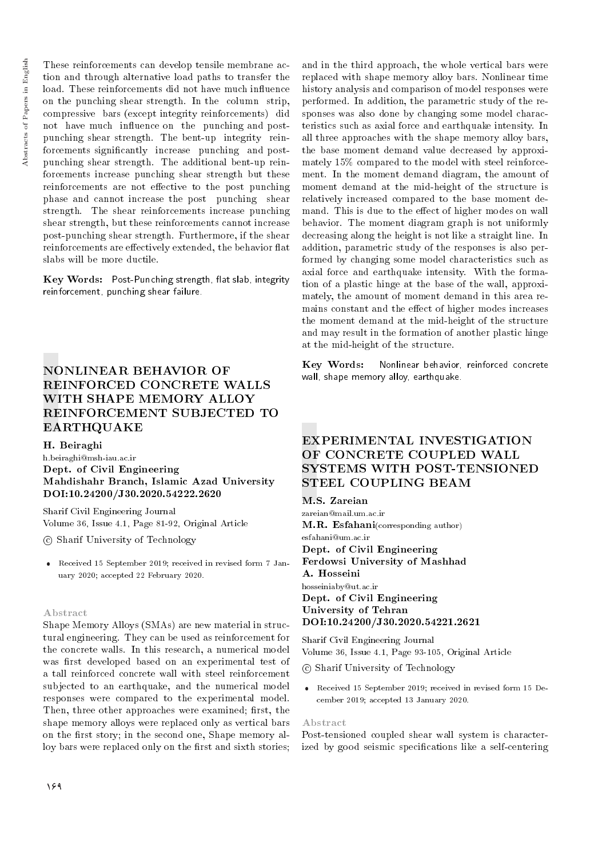These reinforcements can develop tensile membrane action and through alternative load paths to transfer the load. These reinforcements did not have much influence on the punching shear strength. In the column strip, compressive bars (except integrity reinforcements) did not have much influence on the punching and postpunching shear strength. The bent-up integrity reinforcements signicantly increase punching and postpunching shear strength. The additional bent-up reinforcements increase punching shear strength but these reinforcements are not effective to the post punching phase and cannot increase the post punching shear strength. The shear reinforcements increase punching shear strength, but these reinforcements cannot increase post-punching shear strength. Furthermore, if the shear reinforcements are effectively extended, the behavior flat slabs will be more ductile.

Key Words: Post-Punching strength, flat slab, integrity reinforcement, punching shear failure.

## NONLINEAR BEHAVIOR OF REINFORCED CONCRETE WALLS WITH SHAPE MEMORY ALLOY REINFORCEMENT SUBJECTED TO EARTHQUAKE

### H. Beiraghi

h.beiraghi@msh-iau.ac.ir Dept. of Civil Engineering Mahdishahr Branch, Islamic Azad University DOI:10.24200/J30.2020.54222.2620

Sharif Civil Engineering Journal Volume 36, Issue 4.1, Page 81-92, Original Article

c Sharif University of Technology

 Received 15 September 2019; received in revised form 7 January 2020; accepted 22 February 2020.

#### Abstract

Shape Memory Alloys (SMAs) are new material in structural engineering. They can be used as reinforcement for the concrete walls. In this research, a numerical model was first developed based on an experimental test of a tall reinforced concrete wall with steel reinforcement subjected to an earthquake, and the numerical model responses were compared to the experimental model. Then, three other approaches were examined; first, the shape memory alloys were replaced only as vertical bars on the first story; in the second one, Shape memory alloy bars were replaced only on the first and sixth stories;

and in the third approach, the whole vertical bars were replaced with shape memory alloy bars. Nonlinear time history analysis and comparison of model responses were performed. In addition, the parametric study of the responses was also done by changing some model characteristics such as axial force and earthquake intensity. In all three approaches with the shape memory alloy bars, the base moment demand value decreased by approximately 15% compared to the model with steel reinforcement. In the moment demand diagram, the amount of moment demand at the mid-height of the structure is relatively increased compared to the base moment demand. This is due to the effect of higher modes on wall behavior. The moment diagram graph is not uniformly decreasing along the height is not like a straight line. In addition, parametric study of the responses is also performed by changing some model characteristics such as axial force and earthquake intensity. With the formation of a plastic hinge at the base of the wall, approximately, the amount of moment demand in this area remains constant and the effect of higher modes increases the moment demand at the mid-height of the structure and may result in the formation of another plastic hinge at the mid-height of the structure.

Key Words: Nonlinear behavior, reinforced concrete wall, shape memory alloy, earthquake.

## EXPERIMENTAL INVESTIGATION OF CONCRETE COUPLED WALL SYSTEMS WITH POST-TENSIONED STEEL COUPLING BEAM

#### M.S. Zareian

zareian@mail.um.ac.ir M.R. Esfahani(corresponding author) esfahani@um.ac.ir Dept. of Civil Engineering Ferdowsi University of Mashhad A. Hosseini hosseiniaby@ut.ac.ir Dept. of Civil Engineering University of Tehran DOI:10.24200/J30.2020.54221.2621

Sharif Civil Engineering Journal Volume 36, Issue 4.1, Page 93-105, Original Article

c Sharif University of Technology

 Received 15 September 2019; received in revised form 15 December 2019; accepted 13 January 2020.

#### Abstract

Post-tensioned coupled shear wall system is characterized by good seismic specifications like a self-centering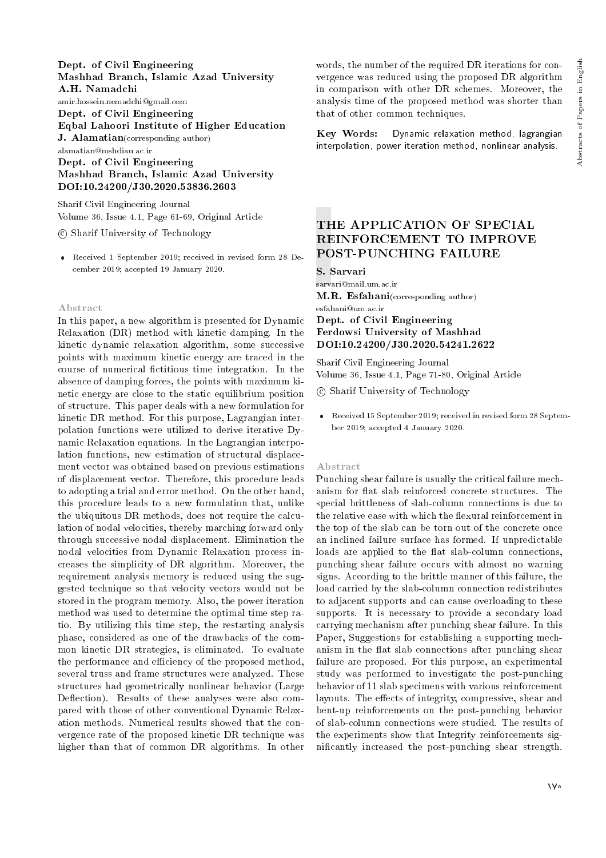#### Dept. of Civil Engineering Mashhad Branch, Islamic Azad University A.H. Namadchi

amir.hossein.nemadchi@gmail.com Dept. of Civil Engineering Eqbal Lahoori Institute of Higher Education J. Alamatian(corresponding author) alamatian@mshdiau.ac.ir Dept. of Civil Engineering Mashhad Branch, Islamic Azad University

## DOI:10.24200/J30.2020.53836.2603

Sharif Civil Engineering Journal Volume 36, Issue 4.1, Page 61-69, Original Article

c Sharif University of Technology

 Received 1 September 2019; received in revised form 28 December 2019; accepted 19 January 2020.

#### Abstract

In this paper, a new algorithm is presented for Dynamic Relaxation (DR) method with kinetic damping. In the kinetic dynamic relaxation algorithm, some successive points with maximum kinetic energy are traced in the course of numerical fictitious time integration. In the absence of damping forces, the points with maximum kinetic energy are close to the static equilibrium position of structure. This paper deals with a new formulation for kinetic DR method. For this purpose, Lagrangian interpolation functions were utilized to derive iterative Dynamic Relaxation equations. In the Lagrangian interpolation functions, new estimation of structural displacement vector was obtained based on previous estimations of displacement vector. Therefore, this procedure leads to adopting a trial and error method. On the other hand, this procedure leads to a new formulation that, unlike the ubiquitous DR methods, does not require the calculation of nodal velocities, thereby marching forward only through successive nodal displacement. Elimination the nodal velocities from Dynamic Relaxation process increases the simplicity of DR algorithm. Moreover, the requirement analysis memory is reduced using the suggested technique so that velocity vectors would not be stored in the program memory. Also, the power iteration method was used to determine the optimal time step ratio. By utilizing this time step, the restarting analysis phase, considered as one of the drawbacks of the common kinetic DR strategies, is eliminated. To evaluate the performance and efficiency of the proposed method, several truss and frame structures were analyzed. These structures had geometrically nonlinear behavior (Large Deflection). Results of these analyses were also compared with those of other conventional Dynamic Relaxation methods. Numerical results showed that the convergence rate of the proposed kinetic DR technique was higher than that of common DR algorithms. In other

words, the number of the required DR iterations for convergence was reduced using the proposed DR algorithm in comparison with other DR schemes. Moreover, the analysis time of the proposed method was shorter than that of other common techniques.

Key Words: Dynamic relaxation method, lagrangian interpolation, power iteration method, nonlinear analysis.

## THE APPLICATION OF SPECIAL REINFORCEMENT TO IMPROVE POST-PUNCHING FAILURE

S. Sarvari

sarvari@mail.um.ac.ir M.R. Esfahani(corresponding author)

## esfahani@um.ac.ir Dept. of Civil Engineering Ferdowsi University of Mashhad DOI:10.24200/J30.2020.54241.2622

Sharif Civil Engineering Journal Volume 36, Issue 4.1, Page 71-80, Original Article

c Sharif University of Technology

 Received 15 September 2019; received in revised form 28 September 2019; accepted 4 January 2020.

#### Abstract

Punching shear failure is usually the critical failure mechanism for flat slab reinforced concrete structures. The special brittleness of slab-column connections is due to the relative ease with which the flexural reinforcement in the top of the slab can be torn out of the concrete once an inclined failure surface has formed. If unpredictable loads are applied to the flat slab-column connections, punching shear failure occurs with almost no warning signs. According to the brittle manner of this failure, the load carried by the slab-column connection redistributes to adjacent supports and can cause overloading to these supports. It is necessary to provide a secondary load carrying mechanism after punching shear failure. In this Paper, Suggestions for establishing a supporting mechanism in the flat slab connections after punching shear failure are proposed. For this purpose, an experimental study was performed to investigate the post-punching behavior of 11 slab specimens with various reinforcement layouts. The effects of integrity, compressive, shear and bent-up reinforcements on the post-punching behavior of slab-column connections were studied. The results of the experiments show that Integrity reinforcements signicantly increased the post-punching shear strength.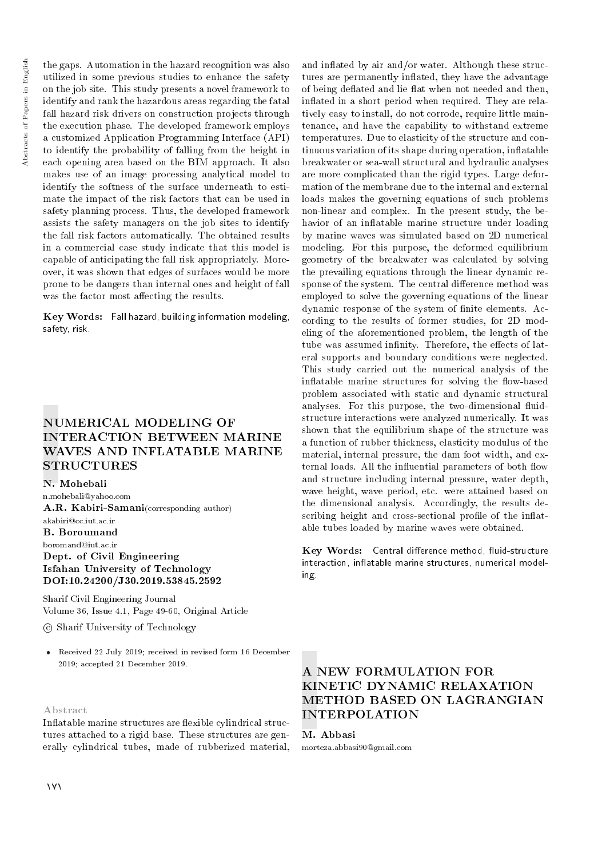the gaps. Automation in the hazard recognition was also utilized in some previous studies to enhance the safety on the job site. This study presents a novel framework to identify and rank the hazardous areas regarding the fatal fall hazard risk drivers on construction projects through the execution phase. The developed framework employs a customized Application Programming Interface (API) to identify the probability of falling from the height in each opening area based on the BIM approach. It also makes use of an image processing analytical model to identify the softness of the surface underneath to estimate the impact of the risk factors that can be used in safety planning process. Thus, the developed framework assists the safety managers on the job sites to identify the fall risk factors automatically. The obtained results in a commercial case study indicate that this model is capable of anticipating the fall risk appropriately. Moreover, it was shown that edges of surfaces would be more prone to be dangers than internal ones and height of fall was the factor most affecting the results.

Key Words: Fall hazard, building information modeling, safety, risk.

## NUMERICAL MODELING OF INTERACTION BETWEEN MARINE WAVES AND INFLATABLE MARINE **STRUCTURES**

#### N. Mohebali

n.mohebali@yahoo.com A.R. Kabiri-Samani(corresponding author) akabiri@cc.iut.ac.ir B. Boroumand

boromand@iut.ac.ir Dept. of Civil Engineering Isfahan University of Technology DOI:10.24200/J30.2019.53845.2592

Sharif Civil Engineering Journal Volume 36, Issue 4.1, Page 49-60, Original Article

c Sharif University of Technology

 Received 22 July 2019; received in revised form 16 December 2019; accepted 21 December 2019.

Abstract

Inflatable marine structures are flexible cylindrical structures attached to a rigid base. These structures are generally cylindrical tubes, made of rubberized material,

and in
ated by air and/or water. Although these structures are permanently inflated, they have the advantage of being deflated and lie flat when not needed and then, inflated in a short period when required. They are relatively easy to install, do not corrode, require little maintenance, and have the capability to withstand extreme temperatures. Due to elasticity of the structure and continuous variation of its shape during operation, in
atable breakwater or sea-wall structural and hydraulic analyses are more complicated than the rigid types. Large deformation of the membrane due to the internal and external loads makes the governing equations of such problems non-linear and complex. In the present study, the behavior of an inflatable marine structure under loading by marine waves was simulated based on 2D numerical modeling. For this purpose, the deformed equilibrium geometry of the breakwater was calculated by solving the prevailing equations through the linear dynamic response of the system. The central difference method was employed to solve the governing equations of the linear dynamic response of the system of finite elements. According to the results of former studies, for 2D modeling of the aforementioned problem, the length of the tube was assumed infinity. Therefore, the effects of lateral supports and boundary conditions were neglected. This study carried out the numerical analysis of the inflatable marine structures for solving the flow-based problem associated with static and dynamic structural analyses. For this purpose, the two-dimensional fluidstructure interactions were analyzed numerically. It was shown that the equilibrium shape of the structure was a function of rubber thickness, elasticity modulus of the material, internal pressure, the dam foot width, and external loads. All the influential parameters of both flow and structure including internal pressure, water depth, wave height, wave period, etc. were attained based on the dimensional analysis. Accordingly, the results describing height and cross-sectional profile of the inflatable tubes loaded by marine waves were obtained.

Key Words: Central difference method, fluid-structure interaction, inflatable marine structures, numerical modeling.

## A NEW FORMULATION FOR KINETIC DYNAMIC RELAXATION METHOD BASED ON LAGRANGIAN INTERPOLATION

#### M. Abbasi

morteza.abbasi90@gmail.com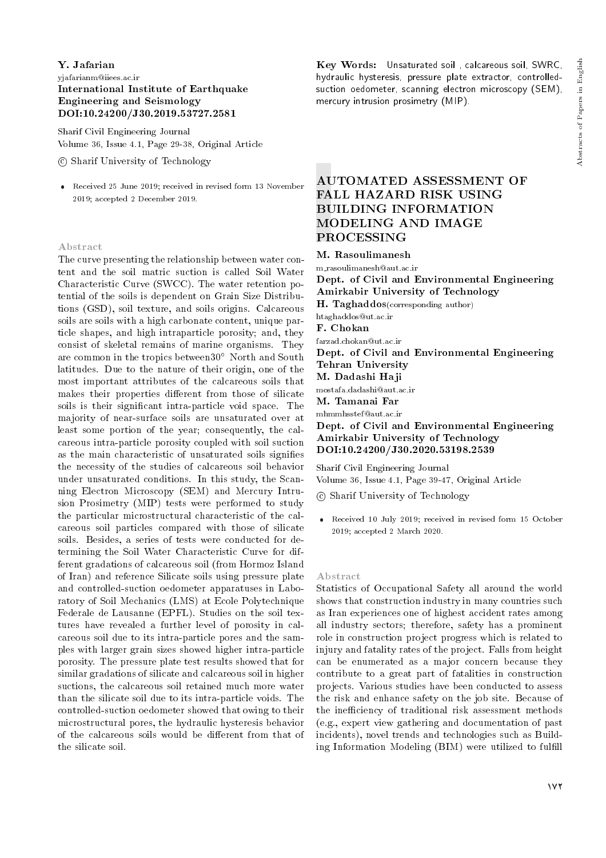## Y. Jafarian yjafarianm@iiees.ac.ir International Institute of Earthquake Engineering and Seismology DOI:10.24200/J30.2019.53727.2581

Sharif Civil Engineering Journal Volume 36, Issue 4.1, Page 29-38, Original Article

c Sharif University of Technology

 Received 25 June 2019; received in revised form 13 November 2019; accepted 2 December 2019.

#### Abstract

The curve presenting the relationship between water content and the soil matric suction is called Soil Water Characteristic Curve (SWCC). The water retention potential of the soils is dependent on Grain Size Distributions (GSD), soil texture, and soils origins. Calcareous soils are soils with a high carbonate content, unique particle shapes, and high intraparticle porosity; and, they consist of skeletal remains of marine organisms. They are common in the tropics between  $30^{\circ}$  North and South latitudes. Due to the nature of their origin, one of the most important attributes of the calcareous soils that makes their properties different from those of silicate soils is their signicant intra-particle void space. The majority of near-surface soils are unsaturated over at least some portion of the year; consequently, the calcareous intra-particle porosity coupled with soil suction as the main characteristic of unsaturated soils signies the necessity of the studies of calcareous soil behavior under unsaturated conditions. In this study, the Scanning Electron Microscopy (SEM) and Mercury Intrusion Prosimetry (MIP) tests were performed to study the particular microstructural characteristic of the calcareous soil particles compared with those of silicate soils. Besides, a series of tests were conducted for determining the Soil Water Characteristic Curve for different gradations of calcareous soil (from Hormoz Island of Iran) and reference Silicate soils using pressure plate and controlled-suction oedometer apparatuses in Laboratory of Soil Mechanics (LMS) at Ecole Polytechnique Federale de Lausanne (EPFL). Studies on the soil textures have revealed a further level of porosity in calcareous soil due to its intra-particle pores and the samples with larger grain sizes showed higher intra-particle porosity. The pressure plate test results showed that for similar gradations of silicate and calcareous soil in higher suctions, the calcareous soil retained much more water than the silicate soil due to its intra-particle voids. The controlled-suction oedometer showed that owing to their microstructural pores, the hydraulic hysteresis behavior of the calcareous soils would be different from that of the silicate soil.

Key Words: Unsaturated soil , calcareous soil, SWRC, hydraulic hysteresis, pressure plate extractor, controlledsuction oedometer, scanning electron microscopy (SEM), mercury intrusion prosimetry (MIP).

## AUTOMATED ASSESSMENT OF FALL HAZARD RISK USING BUILDING INFORMATION MODELING AND IMAGE PROCESSING

M. Rasoulimanesh

m rasoulimanesh@aut.ac.ir Dept. of Civil and Environmental Engineering Amirkabir University of Technology

H. Taghaddos(corresponding author)

htaghaddos@ut.ac.ir

F. Chokan

farzad.chokan@ut.ac.ir

Dept. of Civil and Environmental Engineering Tehran University

## M. Dadashi Haji

mostafa.dadashi@aut.ac.ir

M. Tamanai Far

mhmmhsstef@aut.ac.ir

Dept. of Civil and Environmental Engineering Amirkabir University of Technology DOI:10.24200/J30.2020.53198.2539

Sharif Civil Engineering Journal Volume 36, Issue 4.1, Page 39-47, Original Article

c Sharif University of Technology

 Received 10 July 2019; received in revised form 15 October 2019; accepted 2 March 2020.

#### Abstract

Statistics of Occupational Safety all around the world shows that construction industry in many countries such as Iran experiences one of highest accident rates among all industry sectors; therefore, safety has a prominent role in construction project progress which is related to injury and fatality rates of the project. Falls from height can be enumerated as a major concern because they contribute to a great part of fatalities in construction projects. Various studies have been conducted to assess the risk and enhance safety on the job site. Because of the inefficiency of traditional risk assessment methods (e.g., expert view gathering and documentation of past incidents), novel trends and technologies such as Building Information Modeling (BIM) were utilized to fulfill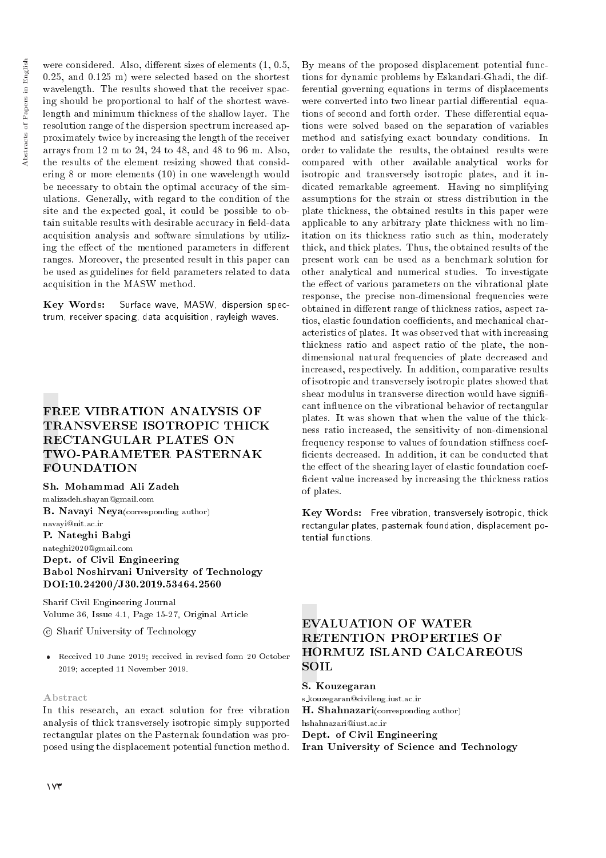were considered. Also, different sizes of elements  $(1, 0.5,$ 0.25, and 0.125 m) were selected based on the shortest wavelength. The results showed that the receiver spacing should be proportional to half of the shortest wavelength and minimum thickness of the shallow layer. The resolution range of the dispersion spectrum increased approximately twice by increasing the length of the receiver arrays from 12 m to 24, 24 to 48, and 48 to 96 m. Also, the results of the element resizing showed that considering 8 or more elements (10) in one wavelength would be necessary to obtain the optimal accuracy of the simulations. Generally, with regard to the condition of the site and the expected goal, it could be possible to obtain suitable results with desirable accuracy in field-data acquisition analysis and software simulations by utilizing the effect of the mentioned parameters in different ranges. Moreover, the presented result in this paper can be used as guidelines for field parameters related to data acquisition in the MASW method.

Key Words: Surface wave, MASW, dispersion spectrum, receiver spacing, data acquisition, rayleigh waves.

## FREE VIBRATION ANALYSIS OF TRANSVERSE ISOTROPIC THICK RECTANGULAR PLATES ON TWO-PARAMETER PASTERNAK FOUNDATION

Sh. Mohammad Ali Zadeh

malizadeh.shayan@gmail.com B. Navayi Neya(corresponding author) navayi@nit.ac.ir P. Nateghi Babgi nateghi2020@gmail.com Dept. of Civil Engineering

## Babol Noshirvani University of Technology DOI:10.24200/J30.2019.53464.2560

Sharif Civil Engineering Journal Volume 36, Issue 4.1, Page 15-27, Original Article

c Sharif University of Technology

 Received 10 June 2019; received in revised form 20 October 2019; accepted 11 November 2019.

## Abstract

In this research, an exact solution for free vibration analysis of thick transversely isotropic simply supported rectangular plates on the Pasternak foundation was proposed using the displacement potential function method.

By means of the proposed displacement potential functions for dynamic problems by Eskandari-Ghadi, the differential governing equations in terms of displacements were converted into two linear partial differential equations of second and forth order. These differential equations were solved based on the separation of variables method and satisfying exact boundary conditions. In order to validate the results, the obtained results were compared with other available analytical works for isotropic and transversely isotropic plates, and it indicated remarkable agreement. Having no simplifying assumptions for the strain or stress distribution in the plate thickness, the obtained results in this paper were applicable to any arbitrary plate thickness with no limitation on its thickness ratio such as thin, moderately thick, and thick plates. Thus, the obtained results of the present work can be used as a benchmark solution for other analytical and numerical studies. To investigate the effect of various parameters on the vibrational plate response, the precise non-dimensional frequencies were obtained in different range of thickness ratios, aspect ratios, elastic foundation coefficients, and mechanical characteristics of plates. It was observed that with increasing thickness ratio and aspect ratio of the plate, the nondimensional natural frequencies of plate decreased and increased, respectively. In addition, comparative results of isotropic and transversely isotropic plates showed that shear modulus in transverse direction would have significant in
uence on the vibrational behavior of rectangular plates. It was shown that when the value of the thickness ratio increased, the sensitivity of non-dimensional frequency response to values of foundation stiffness coefficients decreased. In addition, it can be conducted that the effect of the shearing layer of elastic foundation coefficient value increased by increasing the thickness ratios of plates.

Key Words: Free vibration, transversely isotropic, thick rectangular plates, pasternak foundation, displacement potential functions.

## EVALUATION OF WATER RETENTION PROPERTIES OF HORMUZ ISLAND CALCAREOUS SOIL

S. Kouzegaran s kouzegaran@civileng.iust.ac.ir H. Shahnazari(corresponding author) hshahnazari@iust.ac.ir Dept. of Civil Engineering Iran University of Science and Technology